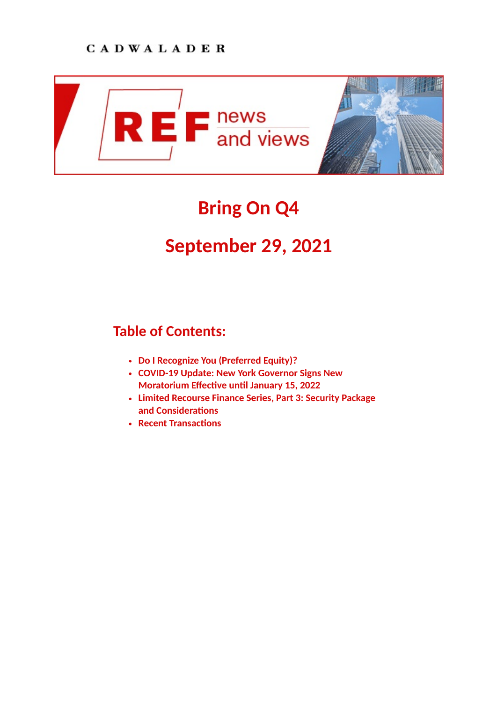

# **Bring On Q4**

# **September 29, 2021**

# **Table of Contents:**

- **[Do I Recognize You \(Preferred Equity\)?](https://www.cadwalader.com/ref-news-views/index.php?eid=177&nid=38%22)**
- **[COVID-19 Update: New York Governor Signs New](https://www.cadwalader.com/ref-news-views/index.php?eid=172&nid=38%22) Moratorium Effective until January 15, 2022**
- **[Limited Recourse Finance Series, Part 3: Security Package](https://www.cadwalader.com/ref-news-views/index.php?eid=173&nid=38%22) and Considerations**
- **Recent Transactions**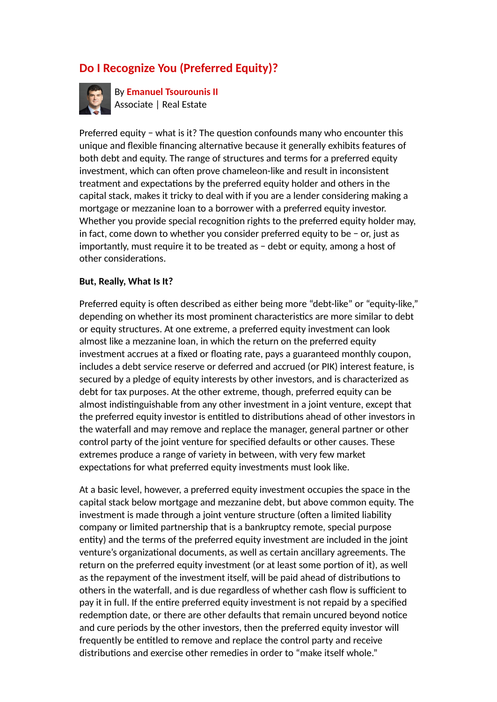# **Do I Recognize You (Preferred Equity)?**



By **[Emanuel Tsourounis II](https://www.cadwalader.com/professionals/emanuel-tsourounis)** Associate | Real Estate

Preferred equity − what is it? The question confounds many who encounter this unique and flexible financing alternative because it generally exhibits features of both debt and equity. The range of structures and terms for a preferred equity investment, which can often prove chameleon-like and result in inconsistent treatment and expectations by the preferred equity holder and others in the capital stack, makes it tricky to deal with if you are a lender considering making a mortgage or mezzanine loan to a borrower with a preferred equity investor. Whether you provide special recognition rights to the preferred equity holder may, in fact, come down to whether you consider preferred equity to be − or, just as importantly, must require it to be treated as − debt or equity, among a host of other considerations.

#### **But, Really, What Is It?**

Preferred equity is often described as either being more "debt-like" or "equity-like," depending on whether its most prominent characteristics are more similar to debt or equity structures. At one extreme, a preferred equity investment can look almost like a mezzanine loan, in which the return on the preferred equity investment accrues at a fixed or floating rate, pays a guaranteed monthly coupon, includes a debt service reserve or deferred and accrued (or PIK) interest feature, is secured by a pledge of equity interests by other investors, and is characterized as debt for tax purposes. At the other extreme, though, preferred equity can be almost indistinguishable from any other investment in a joint venture, except that the preferred equity investor is entitled to distributions ahead of other investors in the waterfall and may remove and replace the manager, general partner or other control party of the joint venture for specified defaults or other causes. These extremes produce a range of variety in between, with very few market expectations for what preferred equity investments must look like.

At a basic level, however, a preferred equity investment occupies the space in the capital stack below mortgage and mezzanine debt, but above common equity. The investment is made through a joint venture structure (often a limited liability company or limited partnership that is a bankruptcy remote, special purpose entity) and the terms of the preferred equity investment are included in the joint venture's organizational documents, as well as certain ancillary agreements. The return on the preferred equity investment (or at least some portion of it), as well as the repayment of the investment itself, will be paid ahead of distributions to others in the waterfall, and is due regardless of whether cash flow is sufficient to pay it in full. If the entire preferred equity investment is not repaid by a specified redemption date, or there are other defaults that remain uncured beyond notice and cure periods by the other investors, then the preferred equity investor will frequently be entitled to remove and replace the control party and receive distributions and exercise other remedies in order to "make itself whole."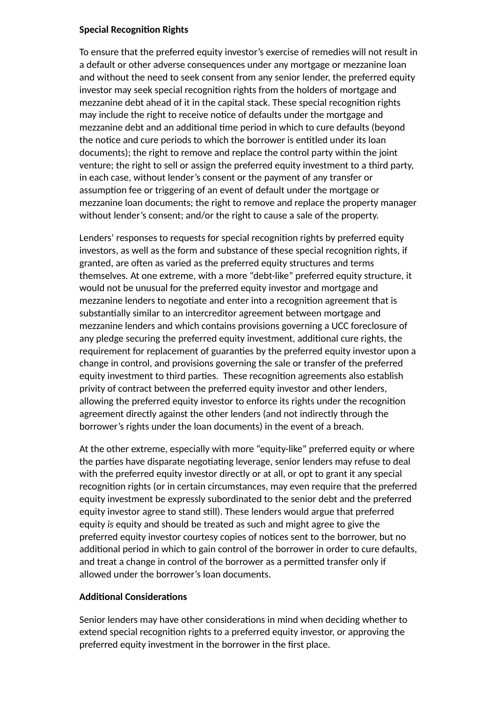#### **Special Recognition Rights**

To ensure that the preferred equity investor's exercise of remedies will not result in a default or other adverse consequences under any mortgage or mezzanine loan and without the need to seek consent from any senior lender, the preferred equity investor may seek special recognition rights from the holders of mortgage and mezzanine debt ahead of it in the capital stack. These special recognition rights may include the right to receive notice of defaults under the mortgage and mezzanine debt and an additional time period in which to cure defaults (beyond the notice and cure periods to which the borrower is entitled under its loan documents); the right to remove and replace the control party within the joint venture; the right to sell or assign the preferred equity investment to a third party, in each case, without lender's consent or the payment of any transfer or assumption fee or triggering of an event of default under the mortgage or mezzanine loan documents; the right to remove and replace the property manager without lender's consent; and/or the right to cause a sale of the property.

Lenders' responses to requests for special recognition rights by preferred equity investors, as well as the form and substance of these special recognition rights, if granted, are often as varied as the preferred equity structures and terms themselves. At one extreme, with a more "debt-like" preferred equity structure, it would not be unusual for the preferred equity investor and mortgage and mezzanine lenders to negotiate and enter into a recognition agreement that is substantially similar to an intercreditor agreement between mortgage and mezzanine lenders and which contains provisions governing a UCC foreclosure of any pledge securing the preferred equity investment, additional cure rights, the requirement for replacement of guaranties by the preferred equity investor upon a change in control, and provisions governing the sale or transfer of the preferred equity investment to third parties. These recognition agreements also establish privity of contract between the preferred equity investor and other lenders, allowing the preferred equity investor to enforce its rights under the recognition agreement directly against the other lenders (and not indirectly through the borrower's rights under the loan documents) in the event of a breach.

At the other extreme, especially with more "equity-like" preferred equity or where the parties have disparate negotiating leverage, senior lenders may refuse to deal with the preferred equity investor directly or at all, or opt to grant it any special recognition rights (or in certain circumstances, may even require that the preferred equity investment be expressly subordinated to the senior debt and the preferred equity investor agree to stand still). These lenders would argue that preferred equity *is* equity and should be treated as such and might agree to give the preferred equity investor courtesy copies of notices sent to the borrower, but no additional period in which to gain control of the borrower in order to cure defaults, and treat a change in control of the borrower as a permitted transfer only if allowed under the borrower's loan documents.

#### **Additional Considerations**

Senior lenders may have other considerations in mind when deciding whether to extend special recognition rights to a preferred equity investor, or approving the preferred equity investment in the borrower in the first place.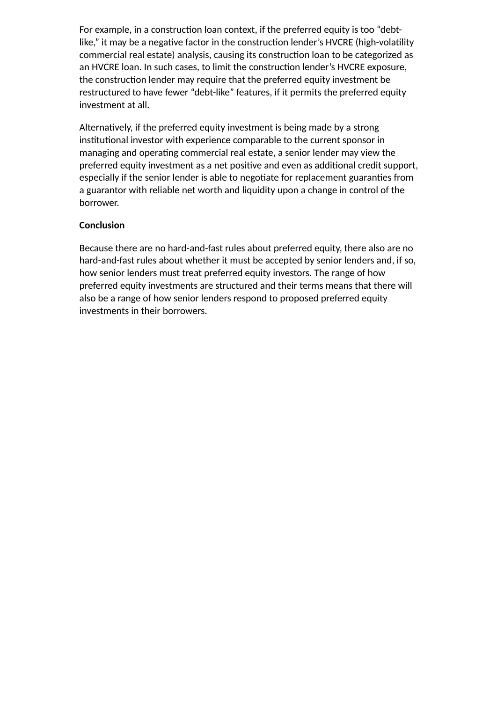For example, in a construction loan context, if the preferred equity is too "debtlike," it may be a negative factor in the construction lender's HVCRE (high-volatility commercial real estate) analysis, causing its construction loan to be categorized as an HVCRE loan. In such cases, to limit the construction lender's HVCRE exposure, the construction lender may require that the preferred equity investment be restructured to have fewer "debt-like" features, if it permits the preferred equity investment at all.

Alternatively, if the preferred equity investment is being made by a strong institutional investor with experience comparable to the current sponsor in managing and operating commercial real estate, a senior lender may view the preferred equity investment as a net positive and even as additional credit support, especially if the senior lender is able to negotiate for replacement guaranties from a guarantor with reliable net worth and liquidity upon a change in control of the borrower.

#### **Conclusion**

Because there are no hard-and-fast rules about preferred equity, there also are no hard-and-fast rules about whether it must be accepted by senior lenders and, if so, how senior lenders must treat preferred equity investors. The range of how preferred equity investments are structured and their terms means that there will also be a range of how senior lenders respond to proposed preferred equity investments in their borrowers.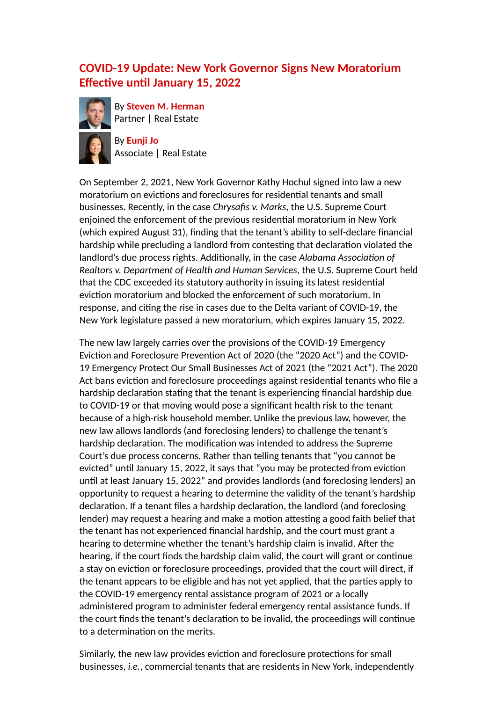### **COVID-19 Update: New York Governor Signs New Moratorium Effective until January 15, 2022**



By **[Steven M. Herman](https://www.cadwalader.com/professionals/steven-herman)** Partner | Real Estate

By **[Eunji Jo](https://www.cadwalader.com/professionals/eunji-jo)** Associate | Real Estate

On September 2, 2021, New York Governor Kathy Hochul signed into law a new moratorium on evictions and foreclosures for residential tenants and small businesses. Recently, in the case *Chrysafis v. Marks*, the U.S. Supreme Court enjoined the enforcement of the previous residential moratorium in New York (which expired August 31), finding that the tenant's ability to self-declare financial hardship while precluding a landlord from contesting that declaration violated the landlord's due process rights. Additionally, in the case *Alabama Association of Realtors v. Department of Health and Human Services*, the U.S. Supreme Court held that the CDC exceeded its statutory authority in issuing its latest residential eviction moratorium and blocked the enforcement of such moratorium. In response, and citing the rise in cases due to the Delta variant of COVID-19, the New York legislature passed a new moratorium, which expires January 15, 2022.

The new law largely carries over the provisions of the COVID-19 Emergency Eviction and Foreclosure Prevention Act of 2020 (the "2020 Act") and the COVID-19 Emergency Protect Our Small Businesses Act of 2021 (the "2021 Act"). The 2020 Act bans eviction and foreclosure proceedings against residential tenants who file a hardship declaration stating that the tenant is experiencing financial hardship due to COVID-19 or that moving would pose a significant health risk to the tenant because of a high-risk household member. Unlike the previous law, however, the new law allows landlords (and foreclosing lenders) to challenge the tenant's hardship declaration. The modification was intended to address the Supreme Court's due process concerns. Rather than telling tenants that "you cannot be evicted" until January 15, 2022, it says that "you may be protected from eviction until at least January 15, 2022" and provides landlords (and foreclosing lenders) an opportunity to request a hearing to determine the validity of the tenant's hardship declaration. If a tenant files a hardship declaration, the landlord (and foreclosing lender) may request a hearing and make a motion attesting a good faith belief that the tenant has not experienced financial hardship, and the court must grant a hearing to determine whether the tenant's hardship claim is invalid. After the hearing, if the court finds the hardship claim valid, the court will grant or continue a stay on eviction or foreclosure proceedings, provided that the court will direct, if the tenant appears to be eligible and has not yet applied, that the parties apply to the COVID-19 emergency rental assistance program of 2021 or a locally administered program to administer federal emergency rental assistance funds. If the court finds the tenant's declaration to be invalid, the proceedings will continue to a determination on the merits.

Similarly, the new law provides eviction and foreclosure protections for small businesses, *i.e.*, commercial tenants that are residents in New York, independently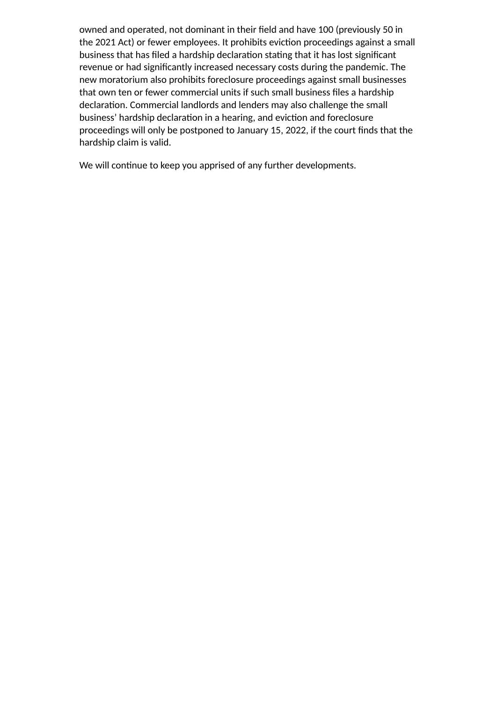owned and operated, not dominant in their field and have 100 (previously 50 in the 2021 Act) or fewer employees. It prohibits eviction proceedings against a small business that has filed a hardship declaration stating that it has lost significant revenue or had significantly increased necessary costs during the pandemic. The new moratorium also prohibits foreclosure proceedings against small businesses that own ten or fewer commercial units if such small business files a hardship declaration. Commercial landlords and lenders may also challenge the small business' hardship declaration in a hearing, and eviction and foreclosure proceedings will only be postponed to January 15, 2022, if the court finds that the hardship claim is valid.

We will continue to keep you apprised of any further developments.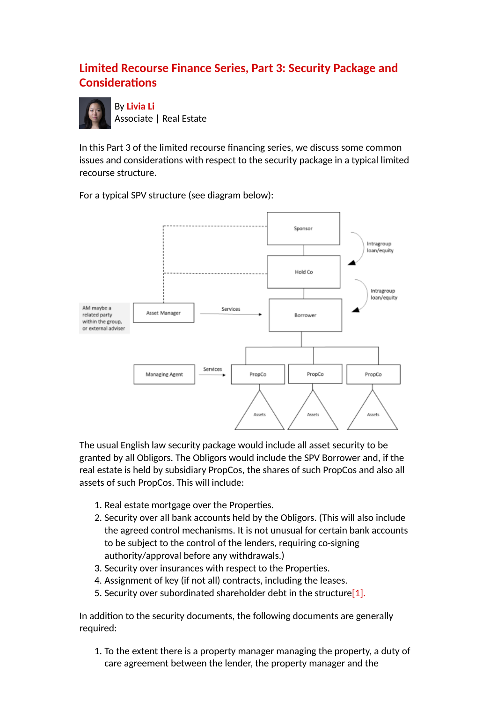## **Limited Recourse Finance Series, Part 3: Security Package and Considerations**



In this Part 3 of the limited recourse financing series, we discuss some common issues and considerations with respect to the security package in a typical limited recourse structure.

Sponsor Intragroup loan/equity Hold Co. Intragroup loan/equity AM maybe a Services Asset Manager related party Borrower within the group. or external adviser Services Managing Agent PropCo PropCo PropCo Assets Assets Assets

For a typical SPV structure (see diagram below):

The usual English law security package would include all asset security to be granted by all Obligors. The Obligors would include the SPV Borrower and, if the real estate is held by subsidiary PropCos, the shares of such PropCos and also all assets of such PropCos. This will include:

- 1. Real estate mortgage over the Properties.
- 2. Security over all bank accounts held by the Obligors. (This will also include the agreed control mechanisms. It is not unusual for certain bank accounts to be subject to the control of the lenders, requiring co-signing authority/approval before any withdrawals.)
- 3. Security over insurances with respect to the Properties.
- 4. Assignment of key (if not all) contracts, including the leases.
- <span id="page-6-0"></span>5. Security over subordinated shareholder debt in the structure<sup>[1]</sup>.

In addition to the security documents, the following documents are generally required:

1. To the extent there is a property manager managing the property, a duty of care agreement between the lender, the property manager and the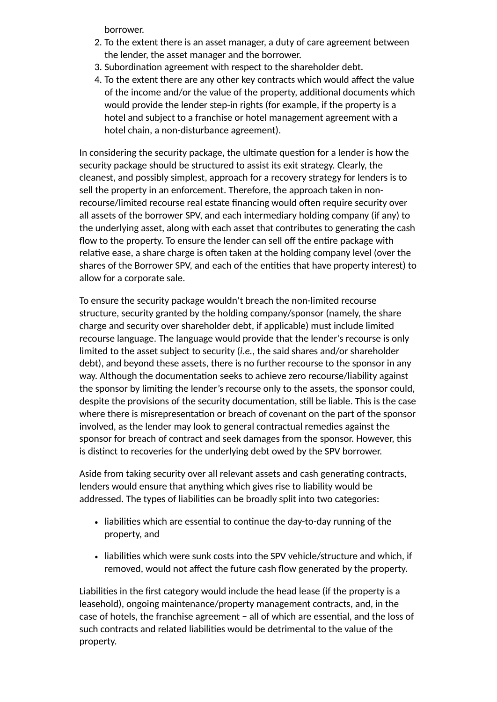borrower.

- 2. To the extent there is an asset manager, a duty of care agreement between the lender, the asset manager and the borrower.
- 3. Subordination agreement with respect to the shareholder debt.
- 4. To the extent there are any other key contracts which would affect the value of the income and/or the value of the property, additional documents which would provide the lender step-in rights (for example, if the property is a hotel and subject to a franchise or hotel management agreement with a hotel chain, a non-disturbance agreement).

In considering the security package, the ultimate question for a lender is how the security package should be structured to assist its exit strategy. Clearly, the cleanest, and possibly simplest, approach for a recovery strategy for lenders is to sell the property in an enforcement. Therefore, the approach taken in nonrecourse/limited recourse real estate financing would often require security over all assets of the borrower SPV, and each intermediary holding company (if any) to the underlying asset, along with each asset that contributes to generating the cash flow to the property. To ensure the lender can sell off the entire package with relative ease, a share charge is often taken at the holding company level (over the shares of the Borrower SPV, and each of the entities that have property interest) to allow for a corporate sale.

To ensure the security package wouldn't breach the non-limited recourse structure, security granted by the holding company/sponsor (namely, the share charge and security over shareholder debt, if applicable) must include limited recourse language. The language would provide that the lender's recourse is only limited to the asset subject to security (*i.e.*, the said shares and/or shareholder debt), and beyond these assets, there is no further recourse to the sponsor in any way. Although the documentation seeks to achieve zero recourse/liability against the sponsor by limiting the lender's recourse only to the assets, the sponsor could, despite the provisions of the security documentation, still be liable. This is the case where there is misrepresentation or breach of covenant on the part of the sponsor involved, as the lender may look to general contractual remedies against the sponsor for breach of contract and seek damages from the sponsor. However, this is distinct to recoveries for the underlying debt owed by the SPV borrower.

Aside from taking security over all relevant assets and cash generating contracts, lenders would ensure that anything which gives rise to liability would be addressed. The types of liabilities can be broadly split into two categories:

- liabilities which are essential to continue the day-to-day running of the property, and
- liabilities which were sunk costs into the SPV vehicle/structure and which, if removed, would not affect the future cash flow generated by the property.

Liabilities in the first category would include the head lease (if the property is a leasehold), ongoing maintenance/property management contracts, and, in the case of hotels, the franchise agreement − all of which are essential, and the loss of such contracts and related liabilities would be detrimental to the value of the property.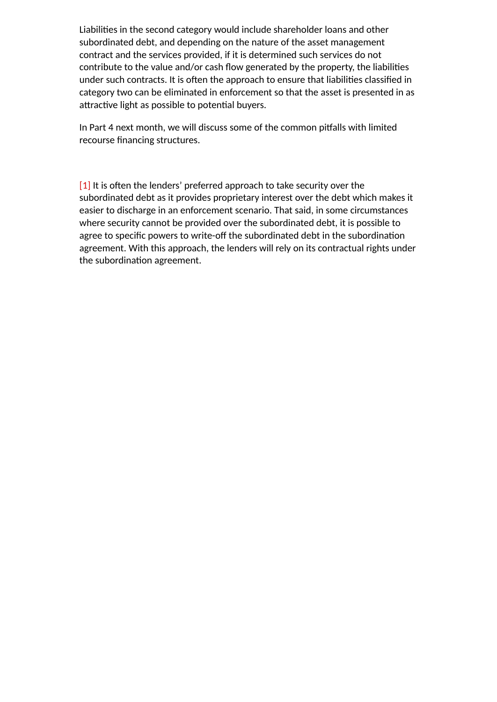Liabilities in the second category would include shareholder loans and other subordinated debt, and depending on the nature of the asset management contract and the services provided, if it is determined such services do not contribute to the value and/or cash flow generated by the property, the liabilities under such contracts. It is often the approach to ensure that liabilities classified in category two can be eliminated in enforcement so that the asset is presented in as attractive light as possible to potential buyers.

In Part 4 next month, we will discuss some of the common pitfalls with limited recourse financing structures.

<span id="page-8-0"></span> $[1]$  It is often the lenders' preferred approach to take security over the subordinated debt as it provides proprietary interest over the debt which makes it easier to discharge in an enforcement scenario. That said, in some circumstances where security cannot be provided over the subordinated debt, it is possible to agree to specific powers to write-off the subordinated debt in the subordination agreement. With this approach, the lenders will rely on its contractual rights under the subordination agreement.